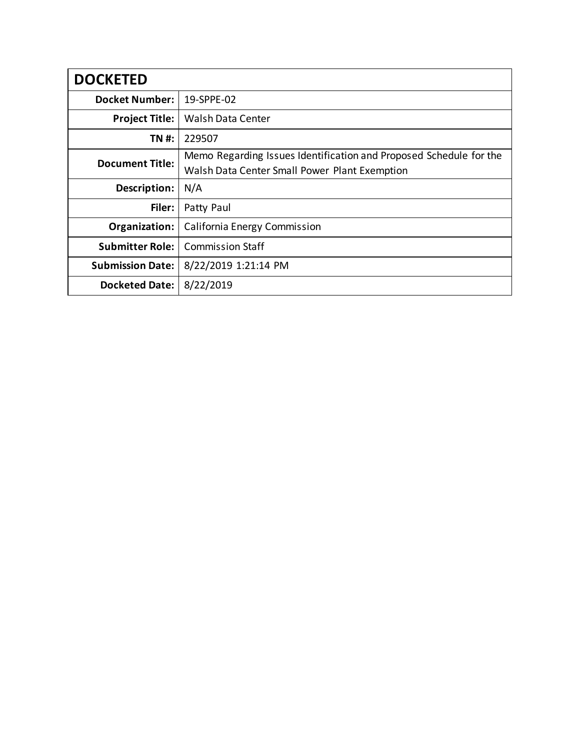| <b>DOCKETED</b>         |                                                                    |
|-------------------------|--------------------------------------------------------------------|
| <b>Docket Number:</b>   | 19-SPPE-02                                                         |
| <b>Project Title:</b>   | <b>Walsh Data Center</b>                                           |
| TN #:                   | 229507                                                             |
| <b>Document Title:</b>  | Memo Regarding Issues Identification and Proposed Schedule for the |
|                         | Walsh Data Center Small Power Plant Exemption                      |
| Description:            | N/A                                                                |
| Filer:                  | Patty Paul                                                         |
| Organization:           | California Energy Commission                                       |
| <b>Submitter Role:</b>  | <b>Commission Staff</b>                                            |
| <b>Submission Date:</b> | 8/22/2019 1:21:14 PM                                               |
| Docketed Date:          | 8/22/2019                                                          |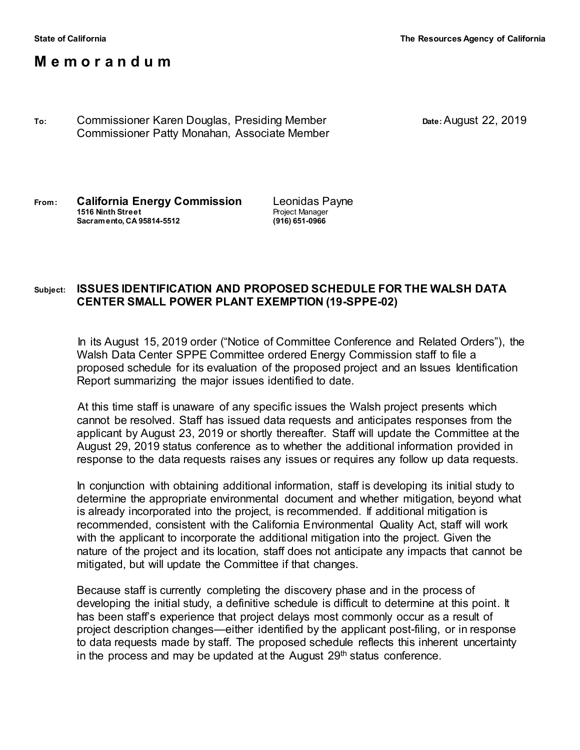## **M e m o r a n d u m**

**To:** Commissioner Karen Douglas, Presiding Member **Date:**August 22, 2019 Commissioner Patty Monahan, Associate Member

**From: California Energy Commission** Leonidas Payne **1516 Ninth Street** The Structure of the Project Manager<br> **1516 Ninth Street Sacramento. CA 95814-5512 Sacramento, CA 95814-5512 (916) 651-0966**

## **Subject: ISSUES IDENTIFICATION AND PROPOSED SCHEDULE FOR THE WALSH DATA CENTER SMALL POWER PLANT EXEMPTION (19-SPPE-02)**

In its August 15, 2019 order ("Notice of Committee Conference and Related Orders"), the Walsh Data Center SPPE Committee ordered Energy Commission staff to file a proposed schedule for its evaluation of the proposed project and an Issues Identification Report summarizing the major issues identified to date.

At this time staff is unaware of any specific issues the Walsh project presents which cannot be resolved. Staff has issued data requests and anticipates responses from the applicant by August 23, 2019 or shortly thereafter. Staff will update the Committee at the August 29, 2019 status conference as to whether the additional information provided in response to the data requests raises any issues or requires any follow up data requests.

In conjunction with obtaining additional information, staff is developing its initial study to determine the appropriate environmental document and whether mitigation, beyond what is already incorporated into the project, is recommended. If additional mitigation is recommended, consistent with the California Environmental Quality Act, staff will work with the applicant to incorporate the additional mitigation into the project. Given the nature of the project and its location, staff does not anticipate any impacts that cannot be mitigated, but will update the Committee if that changes.

Because staff is currently completing the discovery phase and in the process of developing the initial study, a definitive schedule is difficult to determine at this point. It has been staff's experience that project delays most commonly occur as a result of project description changes—either identified by the applicant post-filing, or in response to data requests made by staff. The proposed schedule reflects this inherent uncertainty in the process and may be updated at the August  $29<sup>th</sup>$  status conference.